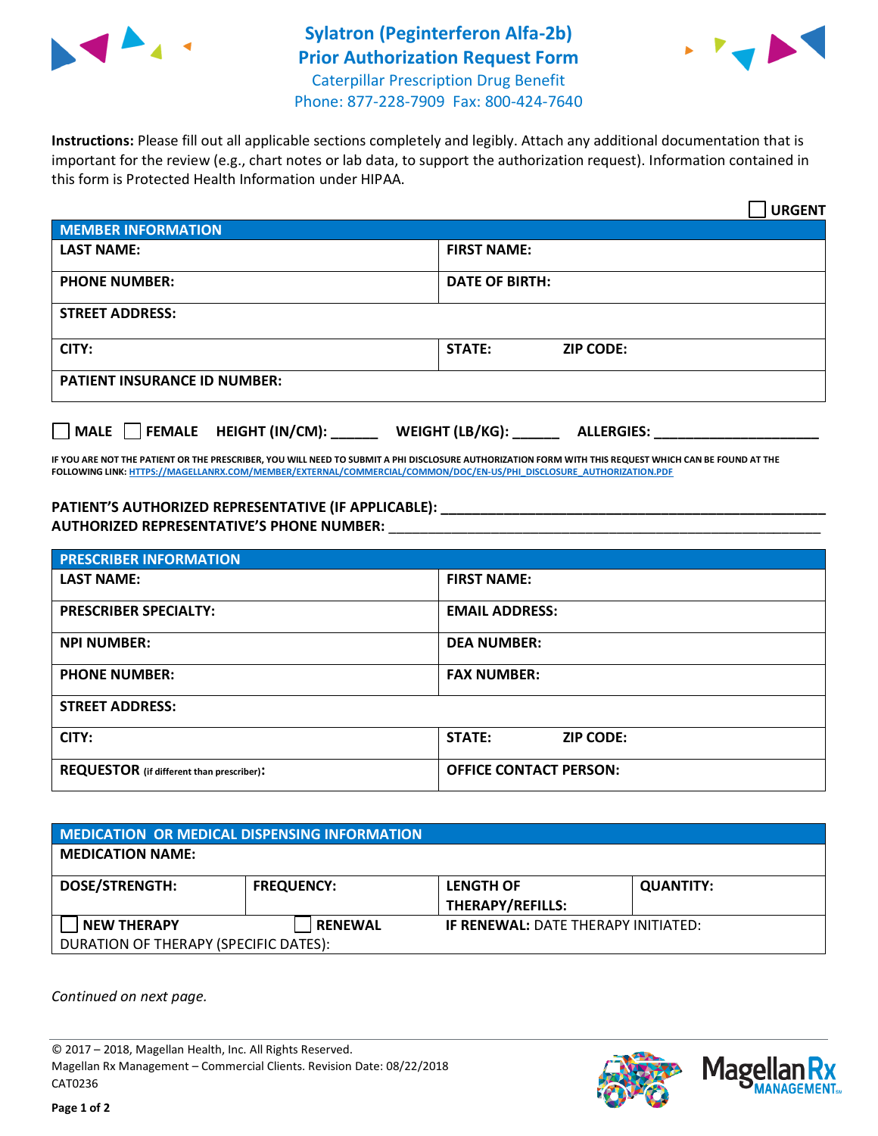

## **Sylatron (Peginterferon Alfa-2b) Prior Authorization Request Form** Caterpillar Prescription Drug Benefit Phone: 877-228-7909 Fax: 800-424-7640



**Instructions:** Please fill out all applicable sections completely and legibly. Attach any additional documentation that is important for the review (e.g., chart notes or lab data, to support the authorization request). Information contained in this form is Protected Health Information under HIPAA.

|                                     |                       |                  | <b>URGENT</b> |
|-------------------------------------|-----------------------|------------------|---------------|
| <b>MEMBER INFORMATION</b>           |                       |                  |               |
| <b>LAST NAME:</b>                   | <b>FIRST NAME:</b>    |                  |               |
| <b>PHONE NUMBER:</b>                | <b>DATE OF BIRTH:</b> |                  |               |
| <b>STREET ADDRESS:</b>              |                       |                  |               |
| CITY:                               | <b>STATE:</b>         | <b>ZIP CODE:</b> |               |
| <b>PATIENT INSURANCE ID NUMBER:</b> |                       |                  |               |
|                                     |                       |                  |               |

**IF YOU ARE NOT THE PATIENT OR THE PRESCRIBER, YOU WILL NEED TO SUBMIT A PHI DISCLOSURE AUTHORIZATION FORM WITH THIS REQUEST WHICH CAN BE FOUND AT THE FOLLOWING LINK[: HTTPS://MAGELLANRX.COM/MEMBER/EXTERNAL/COMMERCIAL/COMMON/DOC/EN-US/PHI\\_DISCLOSURE\\_AUTHORIZATION.PDF](https://magellanrx.com/member/external/commercial/common/doc/en-us/PHI_Disclosure_Authorization.pdf)**

**MALE FEMALE HEIGHT (IN/CM): \_\_\_\_\_\_ WEIGHT (LB/KG): \_\_\_\_\_\_ ALLERGIES: \_\_\_\_\_\_\_\_\_\_\_\_\_\_\_\_\_\_\_\_\_**

## **PATIENT'S AUTHORIZED REPRESENTATIVE (IF APPLICABLE): \_\_\_\_\_\_\_\_\_\_\_\_\_\_\_\_\_\_\_\_\_\_\_\_\_\_\_\_\_\_\_\_\_\_\_\_\_\_\_\_\_\_\_\_\_\_\_\_\_ AUTHORIZED REPRESENTATIVE'S PHONE NUMBER:** \_\_\_\_\_\_\_\_\_\_\_\_\_\_\_\_\_\_\_\_\_\_\_\_\_\_\_\_\_\_\_\_\_\_\_\_\_\_\_\_\_\_\_\_\_\_\_\_\_\_\_\_\_\_\_

| <b>PRESCRIBER INFORMATION</b>             |                               |  |
|-------------------------------------------|-------------------------------|--|
| <b>LAST NAME:</b>                         | <b>FIRST NAME:</b>            |  |
| <b>PRESCRIBER SPECIALTY:</b>              | <b>EMAIL ADDRESS:</b>         |  |
| <b>NPI NUMBER:</b>                        | <b>DEA NUMBER:</b>            |  |
| <b>PHONE NUMBER:</b>                      | <b>FAX NUMBER:</b>            |  |
| <b>STREET ADDRESS:</b>                    |                               |  |
| CITY:                                     | STATE:<br><b>ZIP CODE:</b>    |  |
| REQUESTOR (if different than prescriber): | <b>OFFICE CONTACT PERSON:</b> |  |

| <b>MEDICATION OR MEDICAL DISPENSING INFORMATION</b> |                   |                                            |                  |  |  |
|-----------------------------------------------------|-------------------|--------------------------------------------|------------------|--|--|
| <b>MEDICATION NAME:</b>                             |                   |                                            |                  |  |  |
| <b>DOSE/STRENGTH:</b>                               | <b>FREQUENCY:</b> | <b>LENGTH OF</b>                           | <b>QUANTITY:</b> |  |  |
|                                                     |                   | <b>THERAPY/REFILLS:</b>                    |                  |  |  |
| <b>NEW THERAPY</b>                                  | <b>RENEWAL</b>    | <b>IF RENEWAL: DATE THERAPY INITIATED:</b> |                  |  |  |
| DURATION OF THERAPY (SPECIFIC DATES):               |                   |                                            |                  |  |  |

*Continued on next page.*

© 2017 – 2018, Magellan Health, Inc. All Rights Reserved. Magellan Rx Management – Commercial Clients. Revision Date: 08/22/2018 CAT0236



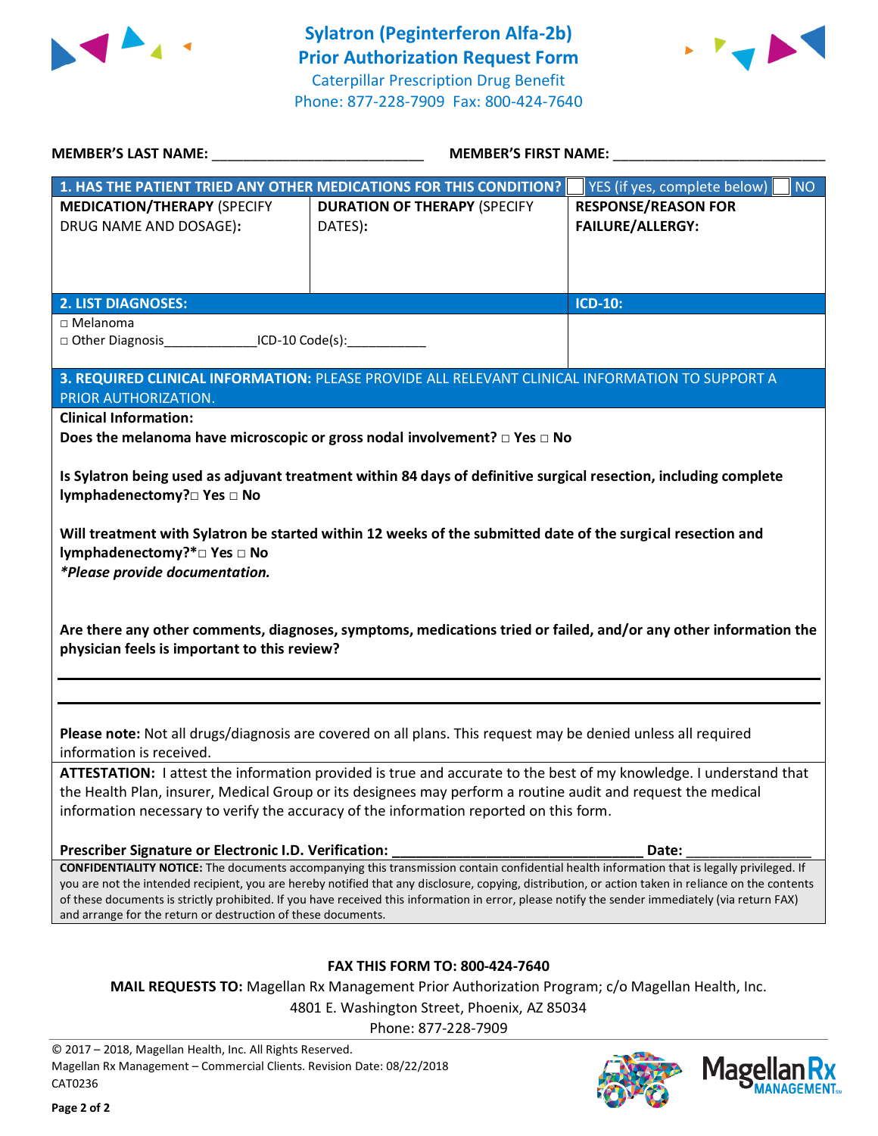



|                                                                                   | MEMBER'S LAST NAME: NAME:<br>MEMBER'S FIRST NAME:                                                                                                                                                                                                                                                       |                                                       |
|-----------------------------------------------------------------------------------|---------------------------------------------------------------------------------------------------------------------------------------------------------------------------------------------------------------------------------------------------------------------------------------------------------|-------------------------------------------------------|
|                                                                                   | 1. HAS THE PATIENT TRIED ANY OTHER MEDICATIONS FOR THIS CONDITION?                                                                                                                                                                                                                                      | YES (if yes, complete below)<br><b>NO</b>             |
| <b>MEDICATION/THERAPY (SPECIFY</b><br>DRUG NAME AND DOSAGE):                      | <b>DURATION OF THERAPY (SPECIFY</b><br>DATES):                                                                                                                                                                                                                                                          | <b>RESPONSE/REASON FOR</b><br><b>FAILURE/ALLERGY:</b> |
| <b>2. LIST DIAGNOSES:</b>                                                         |                                                                                                                                                                                                                                                                                                         | <b>ICD-10:</b>                                        |
| $\Box$ Melanoma<br>□ Other Diagnosis ICD-10 Code(s):                              |                                                                                                                                                                                                                                                                                                         |                                                       |
| PRIOR AUTHORIZATION.                                                              | 3. REQUIRED CLINICAL INFORMATION: PLEASE PROVIDE ALL RELEVANT CLINICAL INFORMATION TO SUPPORT A                                                                                                                                                                                                         |                                                       |
| <b>Clinical Information:</b>                                                      |                                                                                                                                                                                                                                                                                                         |                                                       |
|                                                                                   | Does the melanoma have microscopic or gross nodal involvement? $\Box$ Yes $\Box$ No                                                                                                                                                                                                                     |                                                       |
| lymphadenectomy?□ Yes □ No                                                        | Is Sylatron being used as adjuvant treatment within 84 days of definitive surgical resection, including complete                                                                                                                                                                                        |                                                       |
| lymphadenectomy?*□ Yes □ No                                                       | Will treatment with Sylatron be started within 12 weeks of the submitted date of the surgical resection and                                                                                                                                                                                             |                                                       |
| *Please provide documentation.                                                    |                                                                                                                                                                                                                                                                                                         |                                                       |
| physician feels is important to this review?                                      | Are there any other comments, diagnoses, symptoms, medications tried or failed, and/or any other information the                                                                                                                                                                                        |                                                       |
| information is received.                                                          | Please note: Not all drugs/diagnosis are covered on all plans. This request may be denied unless all required                                                                                                                                                                                           |                                                       |
|                                                                                   | ATTESTATION: I attest the information provided is true and accurate to the best of my knowledge. I understand that                                                                                                                                                                                      |                                                       |
|                                                                                   | the Health Plan, insurer, Medical Group or its designees may perform a routine audit and request the medical                                                                                                                                                                                            |                                                       |
|                                                                                   | information necessary to verify the accuracy of the information reported on this form.                                                                                                                                                                                                                  |                                                       |
| Prescriber Signature or Electronic I.D. Verification:                             |                                                                                                                                                                                                                                                                                                         | Date:                                                 |
|                                                                                   | <b>CONFIDENTIALITY NOTICE:</b> The documents accompanying this transmission contain confidential health information that is legally privileged. If                                                                                                                                                      |                                                       |
| and arrange for the return or destruction of these documents.                     | you are not the intended recipient, you are hereby notified that any disclosure, copying, distribution, or action taken in reliance on the contents<br>of these documents is strictly prohibited. If you have received this information in error, please notify the sender immediately (via return FAX) |                                                       |
|                                                                                   | <b>FAX THIS FORM TO: 800-424-7640</b>                                                                                                                                                                                                                                                                   |                                                       |
|                                                                                   | <b>MAIL REQUESTS TO:</b> Magellan Rx Management Prior Authorization Program; c/o Magellan Health, Inc.                                                                                                                                                                                                  |                                                       |
|                                                                                   | 4801 E. Washington Street, Phoenix, AZ 85034                                                                                                                                                                                                                                                            |                                                       |
|                                                                                   | Phone: 877-228-7909                                                                                                                                                                                                                                                                                     |                                                       |
| © 2017 - 2018, Magellan Health, Inc. All Rights Reserved.                         |                                                                                                                                                                                                                                                                                                         |                                                       |
| Magellan Rx Management - Commercial Clients. Revision Date: 08/22/2018<br>CAT0236 |                                                                                                                                                                                                                                                                                                         | <b>Magell</b>                                         |